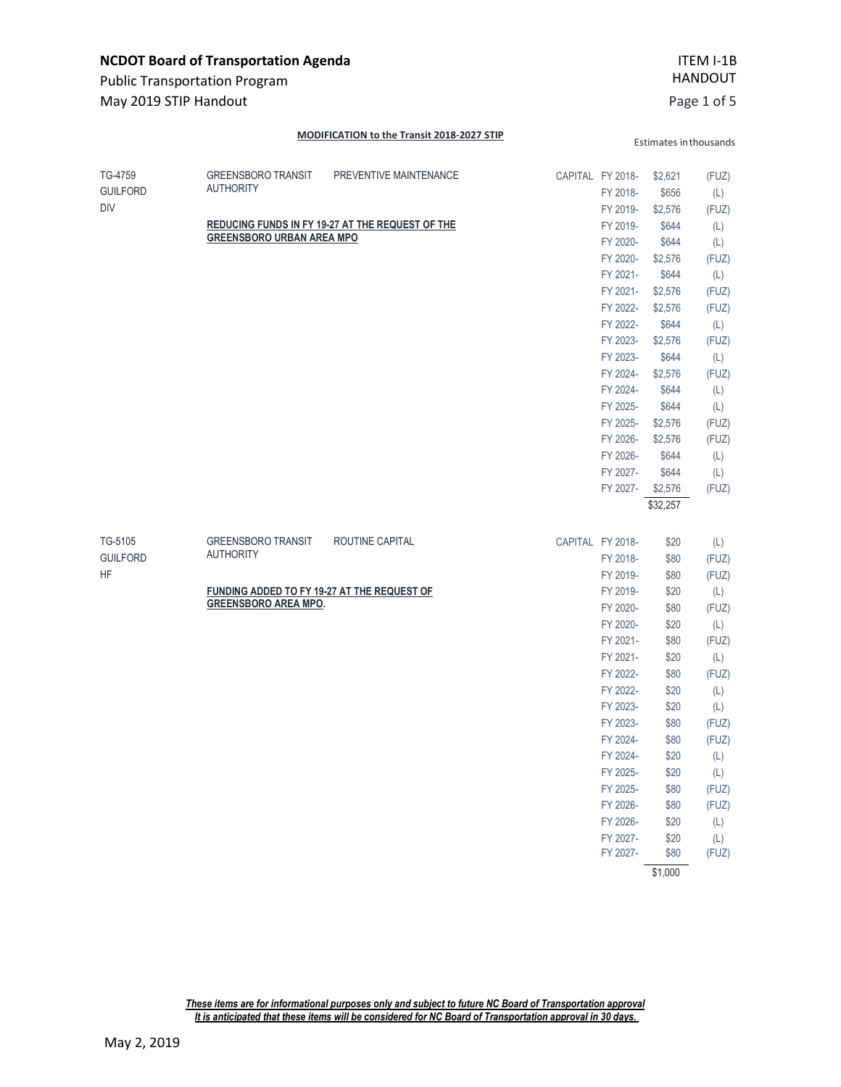| <b>NCDOT Board of Transportation Agenda</b><br><b>Public Transportation Program</b> |                                                                                                                                    |                                                                            |  |                                                                                                                                                                                                                                                      | ITEM I-1B<br><b>HANDOUT</b>                                                                                                                                                                                      |                                                                                                                                                              |
|-------------------------------------------------------------------------------------|------------------------------------------------------------------------------------------------------------------------------------|----------------------------------------------------------------------------|--|------------------------------------------------------------------------------------------------------------------------------------------------------------------------------------------------------------------------------------------------------|------------------------------------------------------------------------------------------------------------------------------------------------------------------------------------------------------------------|--------------------------------------------------------------------------------------------------------------------------------------------------------------|
| May 2019 STIP Handout                                                               |                                                                                                                                    |                                                                            |  |                                                                                                                                                                                                                                                      |                                                                                                                                                                                                                  | Page 1 of 5                                                                                                                                                  |
|                                                                                     |                                                                                                                                    | MODIFICATION to the Transit 2018-2027 STIP                                 |  |                                                                                                                                                                                                                                                      | Estimates in thousands                                                                                                                                                                                           |                                                                                                                                                              |
| TG-4759<br><b>GUILFORD</b><br><b>DIV</b>                                            | <b>GREENSBORO TRANSIT</b><br><b>AUTHORITY</b><br><b>GREENSBORO URBAN AREA MPO</b>                                                  | PREVENTIVE MAINTENANCE<br>REDUCING FUNDS IN FY 19-27 AT THE REQUEST OF THE |  | CAPITAL FY 2018-<br>FY 2018-<br>FY 2019-<br>FY 2019-<br>FY 2020-<br>FY 2020-<br>FY 2021-<br>FY 2021-<br>FY 2022-<br>FY 2022-<br>FY 2023-<br>FY 2023-<br>FY 2024-<br>FY 2024-<br>FY 2025-<br>FY 2025-<br>FY 2026-<br>FY 2026-<br>FY 2027-<br>FY 2027- | \$2,621<br>\$656<br>\$2,576<br>\$644<br>\$644<br>\$2,576<br>\$644<br>\$2,576<br>\$2,576<br>\$644<br>\$2,576<br>\$644<br>\$2,576<br>\$644<br>\$644<br>\$2,576<br>\$2,576<br>\$644<br>\$644<br>\$2,576<br>\$32,257 | (FUZ)<br>(L)<br>(FUZ)<br>(L)<br>(L)<br>(FUZ)<br>(L)<br>(FUZ)<br>(FUZ)<br>(L)<br>(FUZ)<br>(L)<br>(FUZ)<br>(L)<br>(L)<br>(FUZ)<br>(FUZ)<br>(L)<br>(L)<br>(FUZ) |
| TG-5105<br><b>GUILFORD</b><br><b>HF</b>                                             | <b>GREENSBORO TRANSIT</b><br><b>AUTHORITY</b><br><b>FUNDING ADDED TO FY 19-27 AT THE REQUEST OF</b><br><b>GREENSBORO AREA MPO.</b> | ROUTINE CAPITAL                                                            |  | CAPITAL FY 2018-<br>FY 2018-<br>FY 2019-<br>FY 2019-<br>FY 2020-<br>FY 2020-<br>FY 2021-<br>FY 2021-<br>FY 2022-<br>FY 2022-<br>FY 2023-<br>FY 2023-<br>FY 2024-<br>FY 2024-<br>FY 2025-<br>FY 2025-<br>FY 2026-<br>FY 2026-<br>FY 2027-<br>FY 2027- | \$20<br>\$80<br>\$80<br>\$20<br>\$80<br>\$20<br>\$80<br>\$20<br>\$80<br>\$20<br>\$20<br>\$80<br>\$80<br>\$20<br>\$20<br>\$80<br>\$80<br>\$20<br>\$20<br>\$80<br>\$1,000                                          | (L)<br>(FUZ)<br>(FUZ)<br>(L)<br>(FUZ)<br>(L)<br>(FUZ)<br>(L)<br>(FUZ)<br>(L)<br>(L)<br>(FUZ)<br>(FUZ)<br>(L)<br>(L)<br>(FUZ)<br>(FUZ)<br>(L)<br>(L)<br>(FUZ) |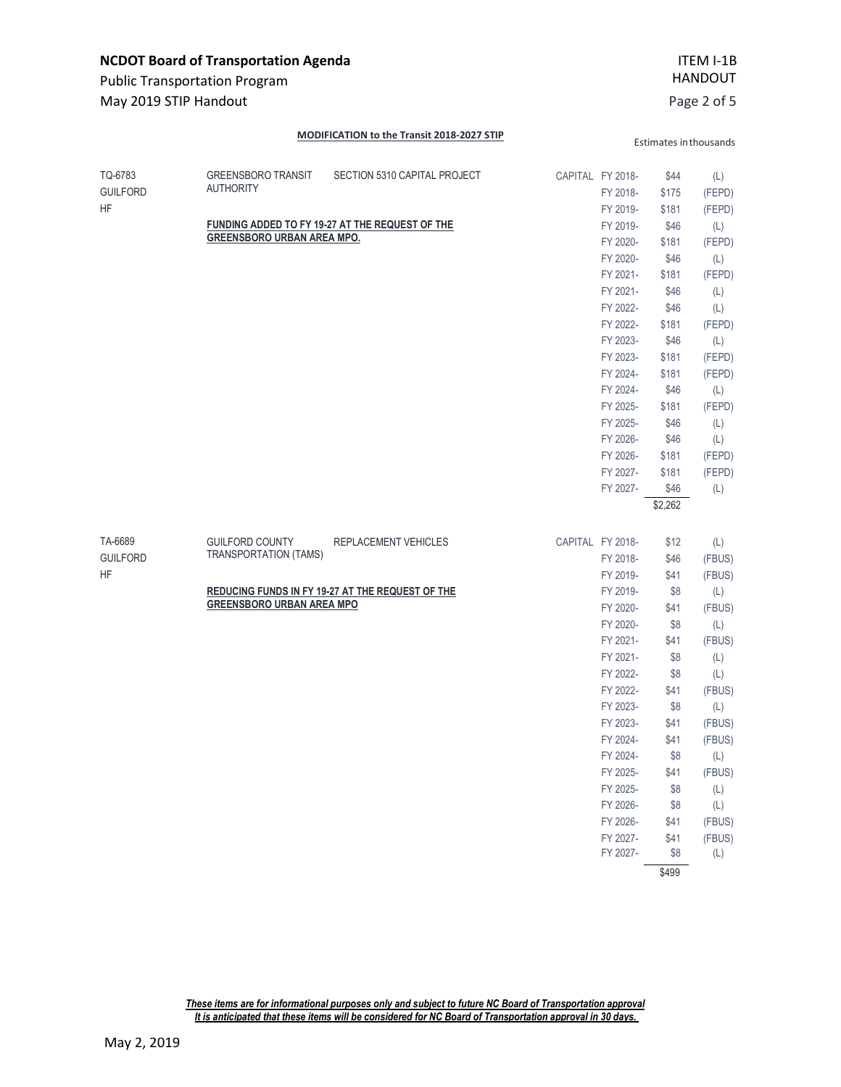| <b>NCDOT Board of Transportation Agenda</b><br><b>Public Transportation Program</b> |                                                                                    |                                                                                 | ITEM I-1B<br><b>HANDOUT</b> |                                                                                                                                                                                                                                  |                                                                                                                                                      |                                                                                                                                                                 |
|-------------------------------------------------------------------------------------|------------------------------------------------------------------------------------|---------------------------------------------------------------------------------|-----------------------------|----------------------------------------------------------------------------------------------------------------------------------------------------------------------------------------------------------------------------------|------------------------------------------------------------------------------------------------------------------------------------------------------|-----------------------------------------------------------------------------------------------------------------------------------------------------------------|
| May 2019 STIP Handout                                                               |                                                                                    |                                                                                 |                             |                                                                                                                                                                                                                                  |                                                                                                                                                      | Page 2 of 5                                                                                                                                                     |
|                                                                                     |                                                                                    | MODIFICATION to the Transit 2018-2027 STIP                                      |                             |                                                                                                                                                                                                                                  |                                                                                                                                                      | Estimates in thousands                                                                                                                                          |
| TQ-6783<br><b>GUILFORD</b><br>HF                                                    | <b>GREENSBORO TRANSIT</b><br><b>AUTHORITY</b><br><b>GREENSBORO URBAN AREA MPO.</b> | SECTION 5310 CAPITAL PROJECT<br>FUNDING ADDED TO FY 19-27 AT THE REQUEST OF THE |                             | CAPITAL FY 2018-<br>FY 2018-<br>FY 2019-<br>FY 2019-<br>FY 2020-<br>FY 2020-<br>FY 2021-<br>FY 2021-<br>FY 2022-<br>FY 2022-<br>FY 2023-<br>FY 2023-<br>FY 2024-                                                                 | \$44<br>\$175<br>\$181<br>\$46<br>\$181<br>\$46<br>\$181<br>\$46<br>\$46<br>\$181<br>\$46<br>\$181<br>\$181                                          | (L)<br>(FEPD)<br>(FEPD)<br>(L)<br>(FEPD)<br>(L)<br>(FEPD)<br>(L)<br>(L)<br>(FEPD)<br>(L)<br>(FEPD)<br>(FEPD)                                                    |
| TA-6689                                                                             | <b>GUILFORD COUNTY</b>                                                             | REPLACEMENT VEHICLES                                                            |                             | FY 2024-<br>FY 2025-<br>FY 2025-<br>FY 2026-<br>FY 2026-<br>FY 2027-<br>FY 2027-<br>CAPITAL FY 2018-                                                                                                                             | \$46<br>\$181<br>\$46<br>\$46<br>\$181<br>\$181<br>\$46<br>\$2,262<br>\$12                                                                           | (L)<br>(FEPD)<br>(L)<br>(L)<br>(FEPD)<br>(FEPD)<br>(L)<br>(L)                                                                                                   |
| <b>GUILFORD</b><br>HF                                                               | TRANSPORTATION (TAMS)<br><b>GREENSBORO URBAN AREA MPO</b>                          | REDUCING FUNDS IN FY 19-27 AT THE REQUEST OF THE                                |                             | FY 2018-<br>FY 2019-<br>FY 2019-<br>FY 2020-<br>FY 2020-<br>FY 2021-<br>FY 2021-<br>FY 2022-<br>FY 2022-<br>FY 2023-<br>FY 2023-<br>FY 2024-<br>FY 2024-<br>FY 2025-<br>FY 2025-<br>FY 2026-<br>FY 2026-<br>FY 2027-<br>FY 2027- | \$46<br>\$41<br>\$8<br>\$41<br>\$8<br>\$41<br>\$8<br>\$8<br>\$41<br>\$8<br>\$41<br>\$41<br>\$8<br>\$41<br>\$8<br>\$8<br>\$41<br>\$41<br>\$8<br>\$499 | (FBUS)<br>(FBUS)<br>(L)<br>(FBUS)<br>(L)<br>(FBUS)<br>(L)<br>(L)<br>(FBUS)<br>(L)<br>(FBUS)<br>(FBUS)<br>(L)<br>(FBUS)<br>(L)<br>(L)<br>(FBUS)<br>(FBUS)<br>(L) |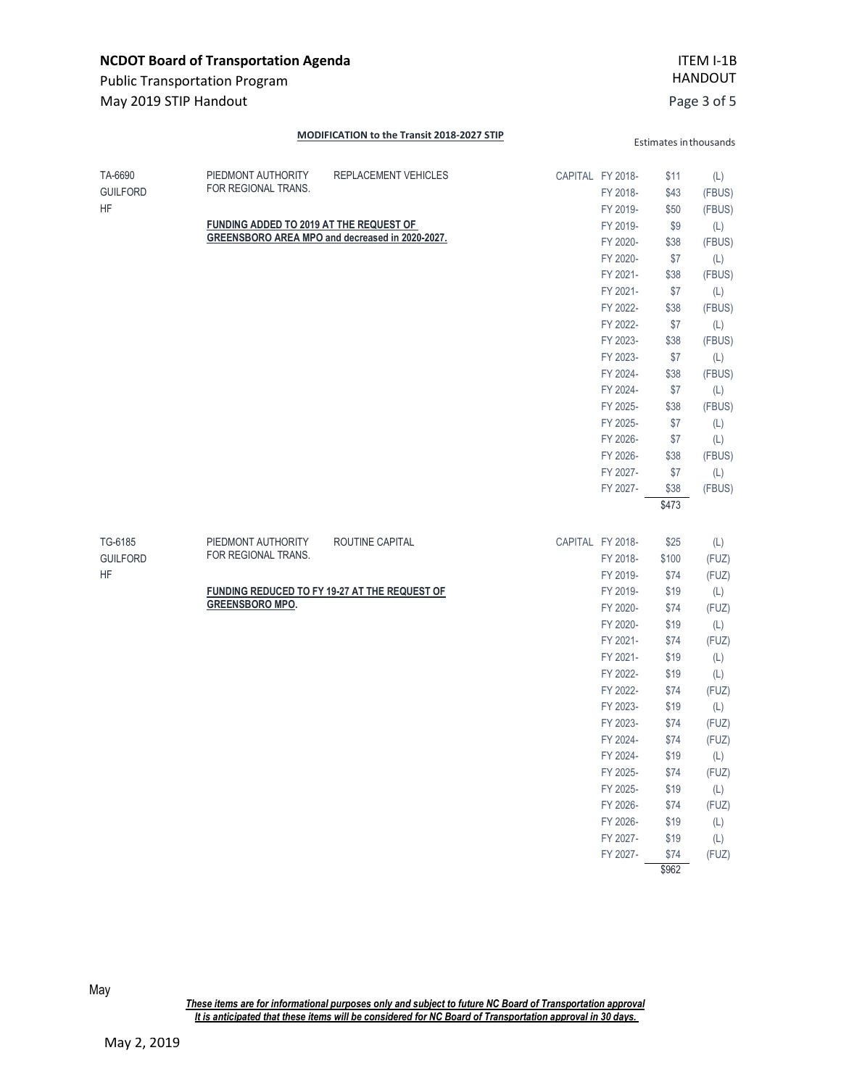| <b>NCDOT Board of Transportation Agenda</b><br><b>Public Transportation Program</b> |                                                                                      |                                                                         |  |                                                                                                                                                                                                                                                      | ITEM I-1B<br><b>HANDOUT</b>                                                                                                                                            |                                                                                                                                                                        |
|-------------------------------------------------------------------------------------|--------------------------------------------------------------------------------------|-------------------------------------------------------------------------|--|------------------------------------------------------------------------------------------------------------------------------------------------------------------------------------------------------------------------------------------------------|------------------------------------------------------------------------------------------------------------------------------------------------------------------------|------------------------------------------------------------------------------------------------------------------------------------------------------------------------|
| May 2019 STIP Handout                                                               |                                                                                      |                                                                         |  |                                                                                                                                                                                                                                                      |                                                                                                                                                                        | Page 3 of 5                                                                                                                                                            |
|                                                                                     |                                                                                      | MODIFICATION to the Transit 2018-2027 STIP                              |  |                                                                                                                                                                                                                                                      |                                                                                                                                                                        | Estimates in thousands                                                                                                                                                 |
| TA-6690<br><b>GUILFORD</b><br>HF                                                    | PIEDMONT AUTHORITY<br>FOR REGIONAL TRANS.<br>FUNDING ADDED TO 2019 AT THE REQUEST OF | REPLACEMENT VEHICLES<br>GREENSBORO AREA MPO and decreased in 2020-2027. |  | CAPITAL FY 2018-<br>FY 2018-<br>FY 2019-<br>FY 2019-<br>FY 2020-<br>FY 2020-<br>FY 2021-<br>FY 2021-<br>FY 2022-<br>FY 2022-<br>FY 2023-<br>FY 2023-<br>FY 2024-<br>FY 2024-<br>FY 2025-<br>FY 2025-<br>FY 2026-<br>FY 2026-<br>FY 2027-<br>FY 2027- | \$11<br>\$43<br>\$50<br>\$9<br>\$38<br>\$7<br>\$38<br>\$7<br>\$38<br>\$7<br>\$38<br>\$7<br>\$38<br>\$7<br>\$38<br>\$7<br>\$7<br>\$38<br>\$7<br>\$38<br>\$473           | (L)<br>(FBUS)<br>(FBUS)<br>(L)<br>(FBUS)<br>(L)<br>(FBUS)<br>(L)<br>(FBUS)<br>(L)<br>(FBUS)<br>(L)<br>(FBUS)<br>(L)<br>(FBUS)<br>(L)<br>(L)<br>(FBUS)<br>(L)<br>(FBUS) |
| TG-6185<br><b>GUILFORD</b><br>HF                                                    | PIEDMONT AUTHORITY<br>FOR REGIONAL TRANS.<br><b>GREENSBORO MPO.</b>                  | ROUTINE CAPITAL<br><b>FUNDING REDUCED TO FY 19-27 AT THE REQUEST OF</b> |  | CAPITAL FY 2018-<br>FY 2018-<br>FY 2019-<br>FY 2019-<br>FY 2020-<br>FY 2020-<br>FY 2021-<br>FY 2021-<br>FY 2022-<br>FY 2022-<br>FY 2023-<br>FY 2023-<br>FY 2024-<br>FY 2024-<br>FY 2025-<br>FY 2025-<br>FY 2026-<br>FY 2026-<br>FY 2027-<br>FY 2027- | \$25<br>\$100<br>\$74<br>\$19<br>\$74<br>\$19<br>\$74<br>\$19<br>\$19<br>\$74<br>\$19<br>\$74<br>\$74<br>\$19<br>\$74<br>\$19<br>\$74<br>\$19<br>\$19<br>\$74<br>\$962 | (L)<br>(FUZ)<br>(FUZ)<br>(L)<br>(FUZ)<br>(L)<br>(FUZ)<br>(L)<br>(L)<br>(FUZ)<br>(L)<br>(FUZ)<br>(FUZ)<br>(L)<br>(FUZ)<br>(L)<br>(FUZ)<br>(L)<br>(L)<br>(FUZ)           |

May